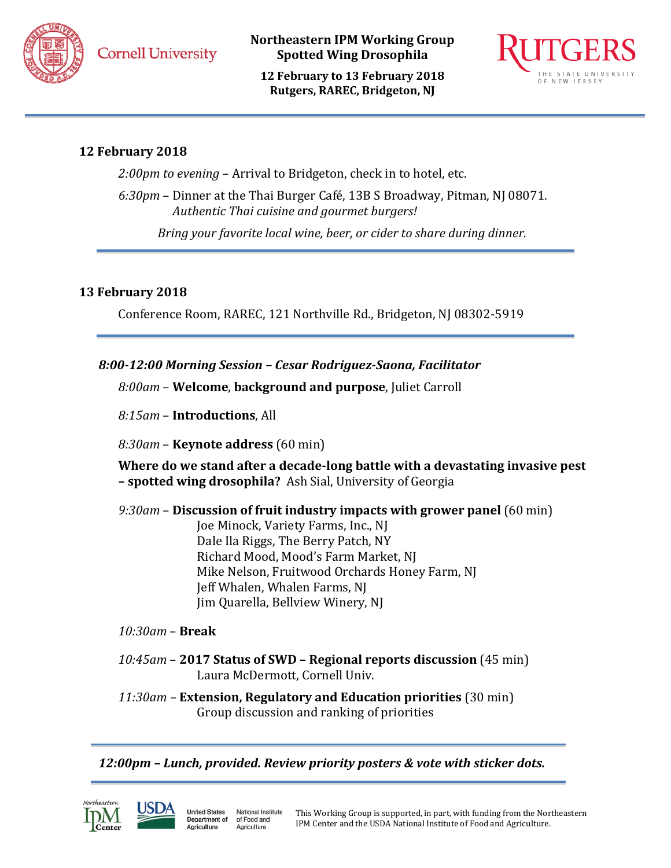

**Northeastern IPM Working Group Spotted Wing Drosophila**

**12 February to 13 February 2018 Rutgers, RAREC, Bridgeton, NJ**



## **12 February 2018**

*2:00pm to evening* – Arrival to Bridgeton, check in to hotel, etc.

*6:30pm* – Dinner at the Thai Burger Café, 13B S Broadway, Pitman, NJ 08071. *Authentic Thai cuisine and gourmet burgers!*

*Bring your favorite local wine, beer, or cider to share during dinner.*

### **13 February 2018**

Conference Room, RAREC, 121 Northville Rd., Bridgeton, NJ 08302-5919

### *8:00-12:00 Morning Session – Cesar Rodriguez-Saona, Facilitator*

*8:00am* – **Welcome**, **background and purpose**, Juliet Carroll

*8:15am* – **Introductions**, All

*8:30am* – **Keynote address** (60 min)

**Where do we stand after a decade-long battle with a devastating invasive pest – spotted wing drosophila?** Ash Sial, University of Georgia

*9:30am* – **Discussion of fruit industry impacts with grower panel** (60 min)

Joe Minock, Variety Farms, Inc., NJ Dale Ila Riggs, The Berry Patch, NY Richard Mood, Mood's Farm Market, NJ Mike Nelson, Fruitwood Orchards Honey Farm, NJ Jeff Whalen, Whalen Farms, NJ Jim Quarella, Bellview Winery, NJ

*10:30am* – **Break**

*10:45am* – **2017 Status of SWD – Regional reports discussion** (45 min) Laura McDermott, Cornell Univ.

*11:30am –* **Extension, Regulatory and Education priorities** (30 min) Group discussion and ranking of priorities

*12:00pm – Lunch, provided. Review priority posters & vote with sticker dots.*





National Institute of Food and Agriculture